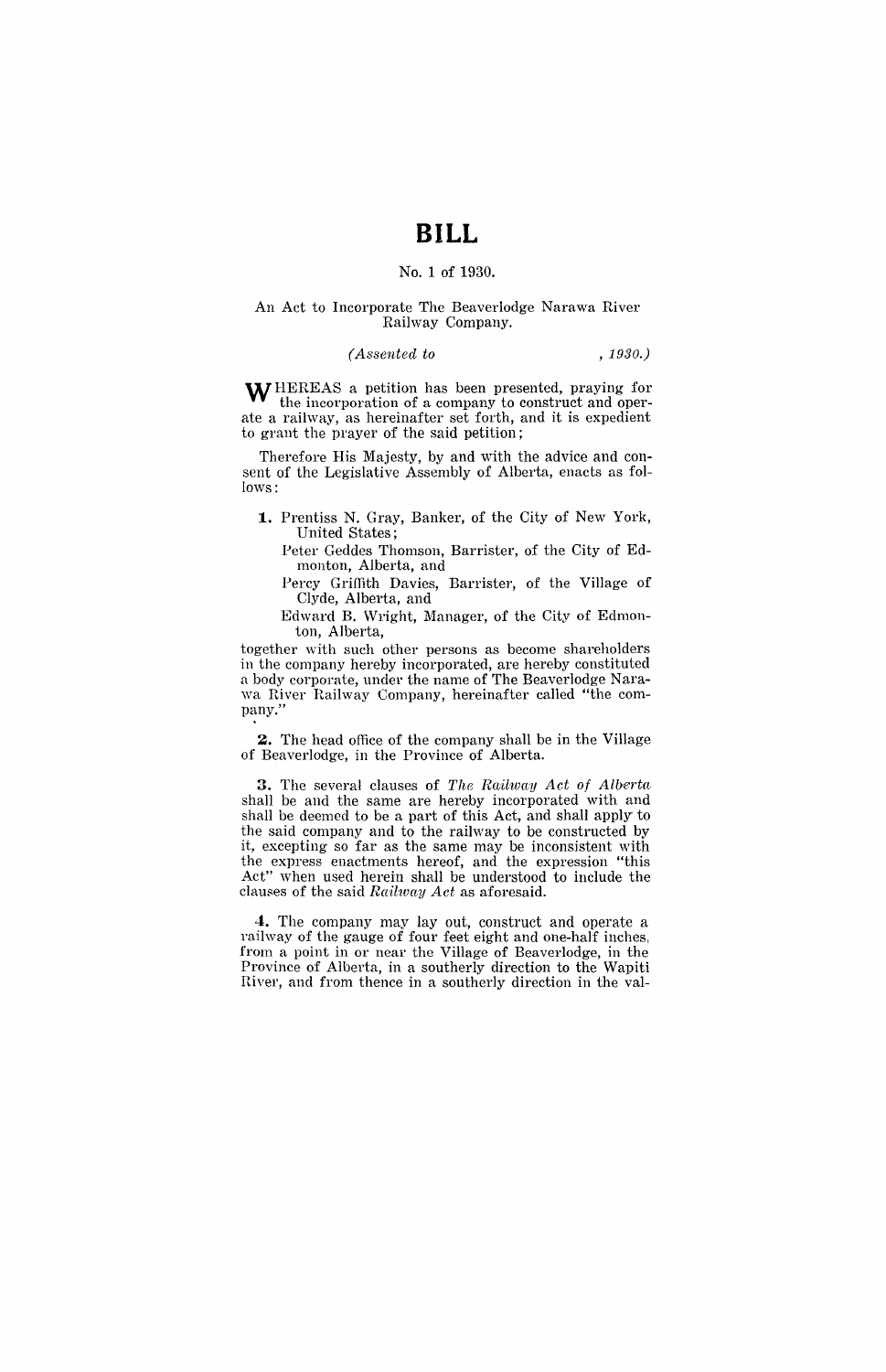## **BILL**

## No.1 of 1930.

#### An Act to Incorporate The Beaverlodge Narawa River Railway Company.

## *(Assented to , 1930.)*

WHEREAS a petition has been presented, praying for the incorporation of a company to construct and operate a railway, as hereinafter set forth, and it is expedient to grant the prayer of the said petition;

Therefore His Majesty, by and with the advice and consent of the Legislative Assembly of Alberta, enacts as follows:

**1..** Prentiss N. Gray, Banker, of the City of New York, United States;

Peter Geddes Thomson, Barrister, of the City of Edmonton, Alberta, and

Percy Griffith Davies, Barrister, of the Village of Clyde, Alberta, and

Edward B. Wright, Manager, of the City of Edmonton, Alberta,

together with such other persons as become shareholders in the company hereby incorporated, are hereby constituted a body corporate, under the name of The Beaverlodge Narawa River Railway Company, hereinafter called "the company."

**2.** The head office of the company shall be in the Village of Beaverlodge, in the Province of Alberta.

**3.** The several clauses of The Railway Act of Alberta. shall be and the same are hereby incorporated with and shall be deemed to be a part of this Act, and shall apply to the said company and to the railway to be constructed by it, excepting so far as the same may be inconsistent with the express enactments hereof, and the expression "this Act" when used herein shall be understood to include the clam~es of the said *Railwny Act* as aforesaid.

4. The company may lay out, construct and operate a railway of the gauge of four feet eight and one-half inches; from a point in or near the Village of Beaverlodge, in the Province of Alberta, in a southerly direction to the Wapiti River, and from thence in a southerly direction in the val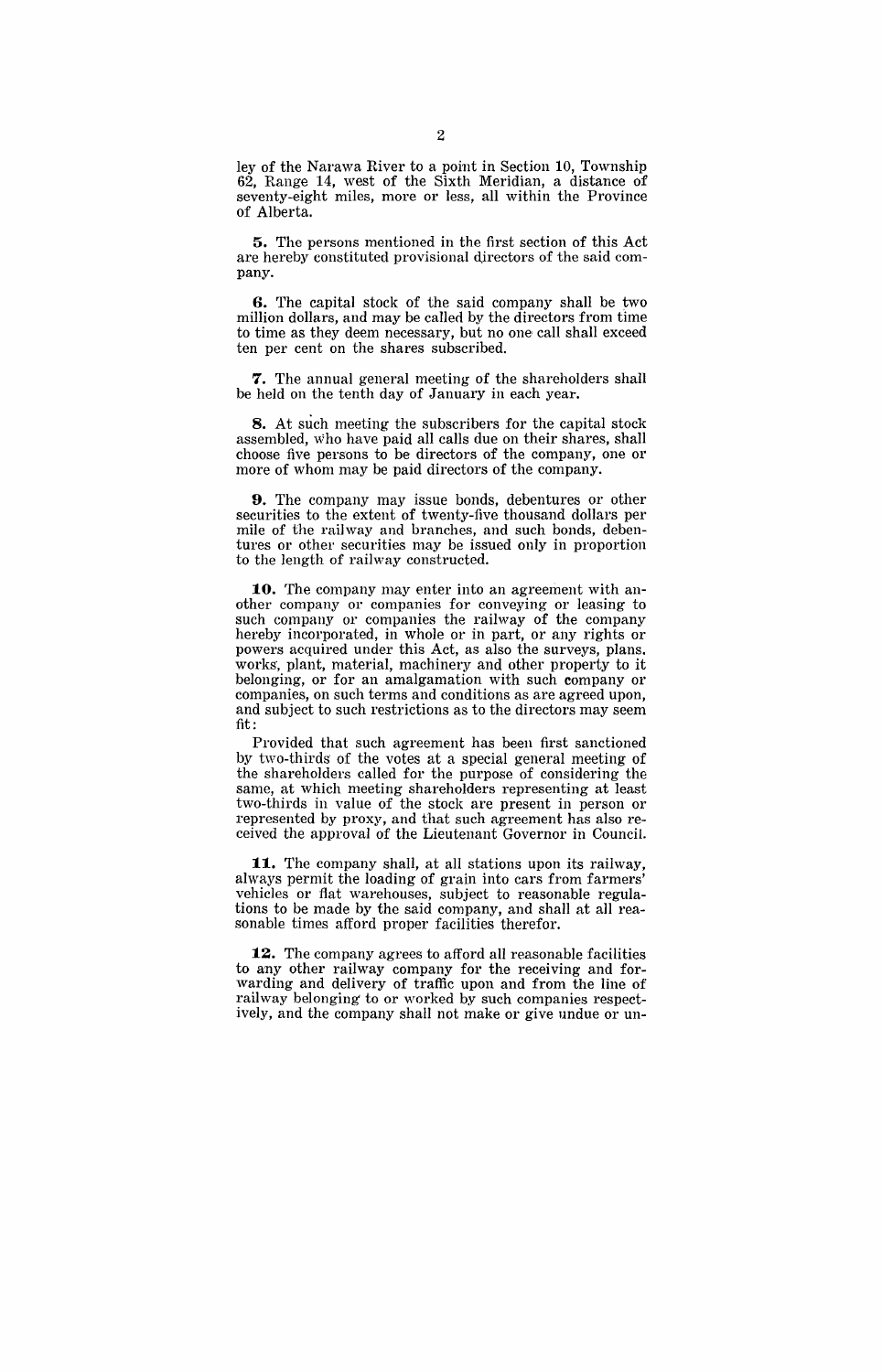ley of the Narawa River to a point in Section 10, Township 62, Range 14, west of the Sixth Meridian, a distance of seventy-eight miles, more or less, all within the Province of Alberta.

**5.** The persons mentioned in the first section of this Act are hereby constituted provisional directors of the said company.

**6.** The capital stock of the said company shall be two million dollars, and may be called by the directors from time to time as they deem necessary, but no one call shall exceed ten per cent on the shares subscribed.

**7.** The annual general meeting of the shareholders shall be held on the tenth day of January in each year.

**8.** At such meeting the subscribers for the capital stock assembled, Who have paid all calls due on their shares, shall choose five persons to be directors of the company, one or more of whom may be paid directors of the company.

**9.** The company may issue bonds, debentures or other securities to the extent of twenty-five thousand dollars per mile of the railway and branches, and such bonds, debentures or other securities may be issued only in proportion to the length of railway constructed.

**10.** The company may enter into an agreement with another company or companies for conveying or leasing to such company or companies the railway of the company hereby incorporated, in whole or in part, or any rights or powers acquired under this Act, as also the surveys, plans. works', plant, material, machinery and other property to it belonging, or for an amalgamation with such company or companies, on such terms and conditions as are agreed upon, and subject to such restrictions as to the directors may seem fit:

Provided that such agreement has been first sanctioned by two-thirds of the votes at a special general meeting of the shareholders called for the purpose of considering the same, at which meeting shareholders representing at least two-thirds in value of the stock are present in person or represented by proxy, and that such agreement has also received the approval of the Lieutenant Governor in Council.

**11.** The company shall, at all stations upon its railway, always permit the loading of grain into cars from farmers' vehicles or flat warehouses, subject to reasonable regulations to be made by the said company, and shall at all reasonable times afford proper facilities therefor.

**12.** The company agrees to afford all reasonable facilities to any other railway company for the receiving and forwarding and delivery of traffic upon and from the line of railway belonging' to or worked by such companies respectively, and the company shall not make or give undue or un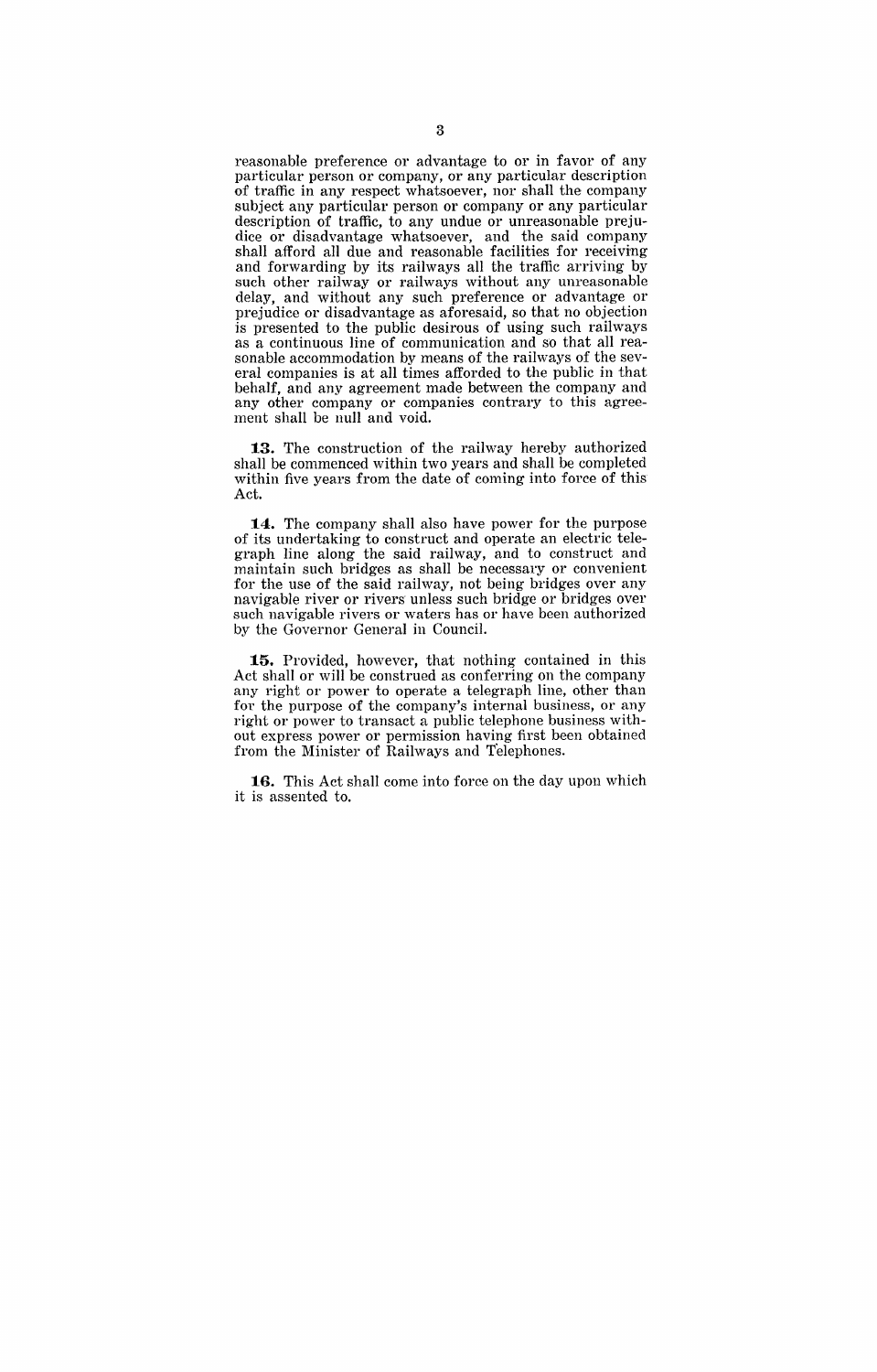reasonable preference or advantage to or in favor of any particular person or company, or any particular description of traffic in any respect whatsoever, nor shall the company subject any particular person or company or any particular description of traffic, to any undue or unreasonable prejudice or disadvantage whatsoever, and the said company shall afford all due and reasonable facilities for receiving and forwarding by its railways all the traffic arriving by such other railway or railways without any unreasonable delay, and without any such preference or advantage or prejudice or disadvantage as aforesaid, so that no objection is presented to the public desirous of using such railways as a continuous line of communication and so that all reasonable accommodation by means of the railways of the several companies is at all times afforded to the public in that behalf, and any agreement made between the company and any other company or companies contrary to this agreement shall be null and void.

**13.** The construction of the railway hereby authorized shall be commenced within two years and shall be completed within five years from the date of coming into force of this Act.

**14.** The company shall also have power for the purpose of its undertaking to construct and operate an electric telegraph line along the said railway, and to construct and maintain such bridges as shall be necessary or convenient for the use of the said railway, not being bridges over any navigable river or rivers unless such bridge or bridges over such navigable rivers or waters has or have been authorized by the Governor General in Council.

**15.** Provided, however, that nothing contained in this Act shall or will be construed as conferring on the company any right or power to operate a telegraph line, other than for the purpose of the company's internal business, or any right or power to transact a public telephone business without express power or permission having first been obtained from the Minister of Railways and Telephones.

**16.** This Act shall come into force on the day upon which it is assented to.